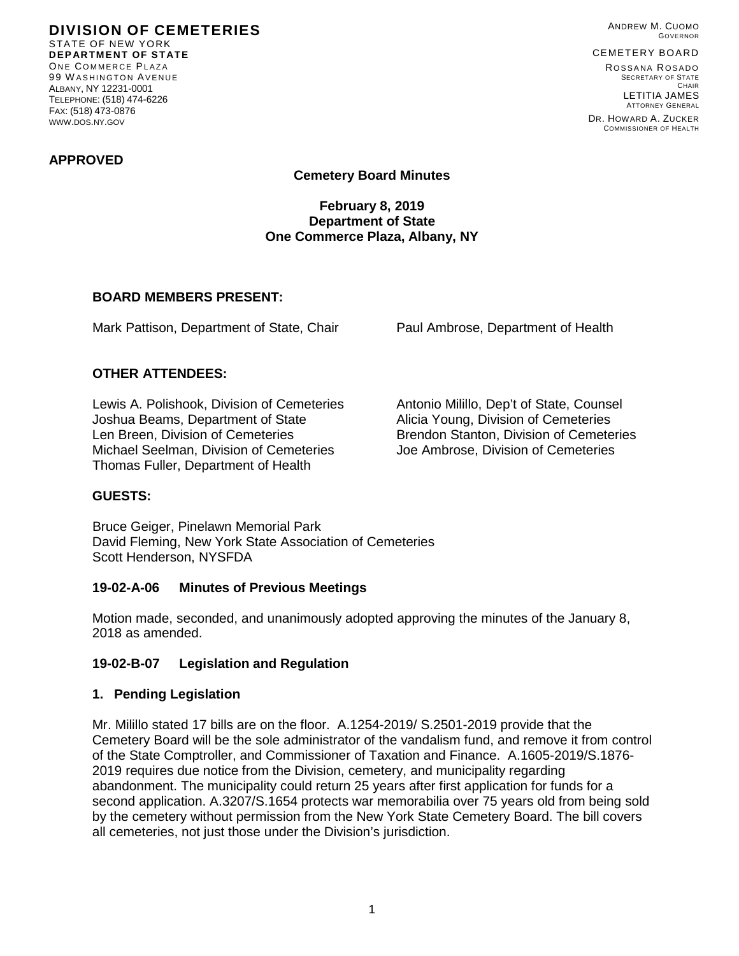**DIVISION OF CEMETERIES** STATE OF NEW YORK **DEPARTMENT OF STATE** ONE COMMERCE PLAZA 99 W ASHINGTON AVENUE ALBANY, NY 12231-0001 TELEPHONE: (518) 474-6226 FAX: (518) 473-0876 WWW.DOS.NY.GOV

ANDREW M. CUOMO GOVERNOR

## CEMETERY BOARD

ROSSANA ROSADO SECRETARY OF STATE CHAIR LETITIA JAMES ATTORNEY GENERAL

DR. HOWARD A. ZUCKER COMMISSIONER OF HEALTH

#### **APPROVED**

### **Cemetery Board Minutes**

#### **February 8, 2019 Department of State One Commerce Plaza, Albany, NY**

#### **BOARD MEMBERS PRESENT:**

Mark Pattison, Department of State, Chair Paul Ambrose, Department of Health

### **OTHER ATTENDEES:**

Lewis A. Polishook, Division of Cemeteries Antonio Milillo, Dep't of State, Counsel<br>Joshua Beams, Department of State Alicia Young, Division of Cemeteries Joshua Beams, Department of State<br>Len Breen, Division of Cemeteries Michael Seelman, Division of Cemeteries Joe Ambrose, Division of Cemeteries Thomas Fuller, Department of Health

Brendon Stanton, Division of Cemeteries

### **GUESTS:**

Bruce Geiger, Pinelawn Memorial Park David Fleming, New York State Association of Cemeteries Scott Henderson, NYSFDA

### **19-02-A-06 Minutes of Previous Meetings**

Motion made, seconded, and unanimously adopted approving the minutes of the January 8, 2018 as amended.

### **19-02-B-07 Legislation and Regulation**

#### **1. Pending Legislation**

Mr. Milillo stated 17 bills are on the floor. A.1254-2019/ S.2501-2019 provide that the Cemetery Board will be the sole administrator of the vandalism fund, and remove it from control of the State Comptroller, and Commissioner of Taxation and Finance. A.1605-2019/S.1876- 2019 requires due notice from the Division, cemetery, and municipality regarding abandonment. The municipality could return 25 years after first application for funds for a second application. A.3207/S.1654 protects war memorabilia over 75 years old from being sold by the cemetery without permission from the New York State Cemetery Board. The bill covers all cemeteries, not just those under the Division's jurisdiction.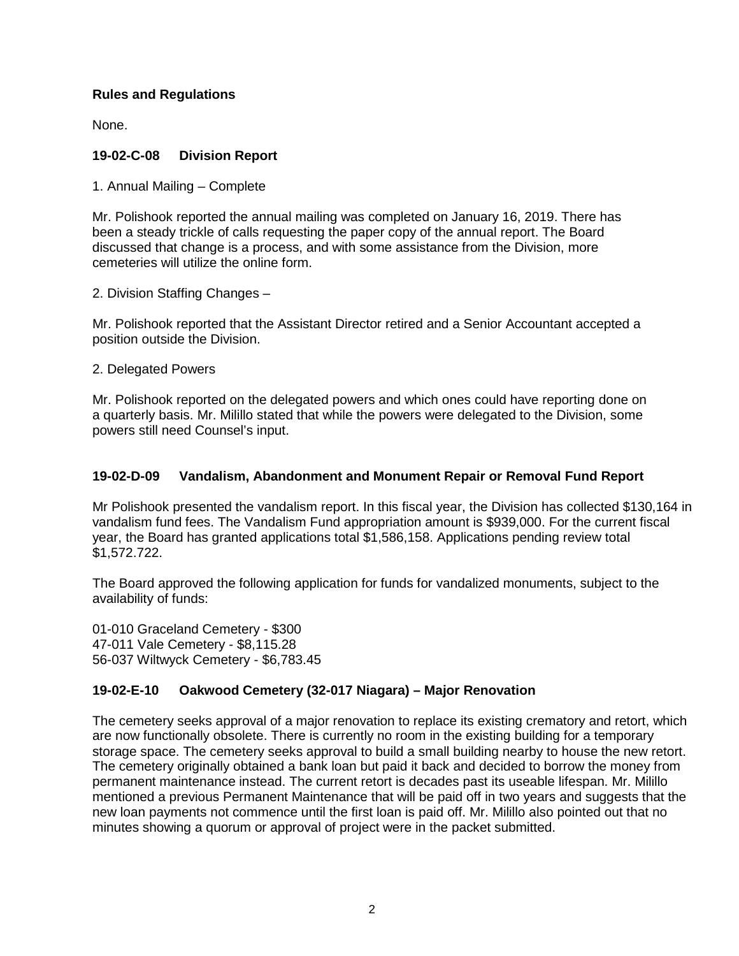## **Rules and Regulations**

None.

## **19-02-C-08 Division Report**

1. Annual Mailing – Complete

Mr. Polishook reported the annual mailing was completed on January 16, 2019. There has been a steady trickle of calls requesting the paper copy of the annual report. The Board discussed that change is a process, and with some assistance from the Division, more cemeteries will utilize the online form.

2. Division Staffing Changes –

Mr. Polishook reported that the Assistant Director retired and a Senior Accountant accepted a position outside the Division.

2. Delegated Powers

Mr. Polishook reported on the delegated powers and which ones could have reporting done on a quarterly basis. Mr. Milillo stated that while the powers were delegated to the Division, some powers still need Counsel's input.

### **19-02-D-09 Vandalism, Abandonment and Monument Repair or Removal Fund Report**

Mr Polishook presented the vandalism report. In this fiscal year, the Division has collected \$130,164 in vandalism fund fees. The Vandalism Fund appropriation amount is \$939,000. For the current fiscal year, the Board has granted applications total \$1,586,158. Applications pending review total \$1,572.722.

The Board approved the following application for funds for vandalized monuments, subject to the availability of funds:

01-010 Graceland Cemetery - \$300 47-011 Vale Cemetery - \$8,115.28 56-037 Wiltwyck Cemetery - \$6,783.45

# **19-02-E-10 Oakwood Cemetery (32-017 Niagara) – Major Renovation**

The cemetery seeks approval of a major renovation to replace its existing crematory and retort, which are now functionally obsolete. There is currently no room in the existing building for a temporary storage space. The cemetery seeks approval to build a small building nearby to house the new retort. The cemetery originally obtained a bank loan but paid it back and decided to borrow the money from permanent maintenance instead. The current retort is decades past its useable lifespan. Mr. Milillo mentioned a previous Permanent Maintenance that will be paid off in two years and suggests that the new loan payments not commence until the first loan is paid off. Mr. Milillo also pointed out that no minutes showing a quorum or approval of project were in the packet submitted.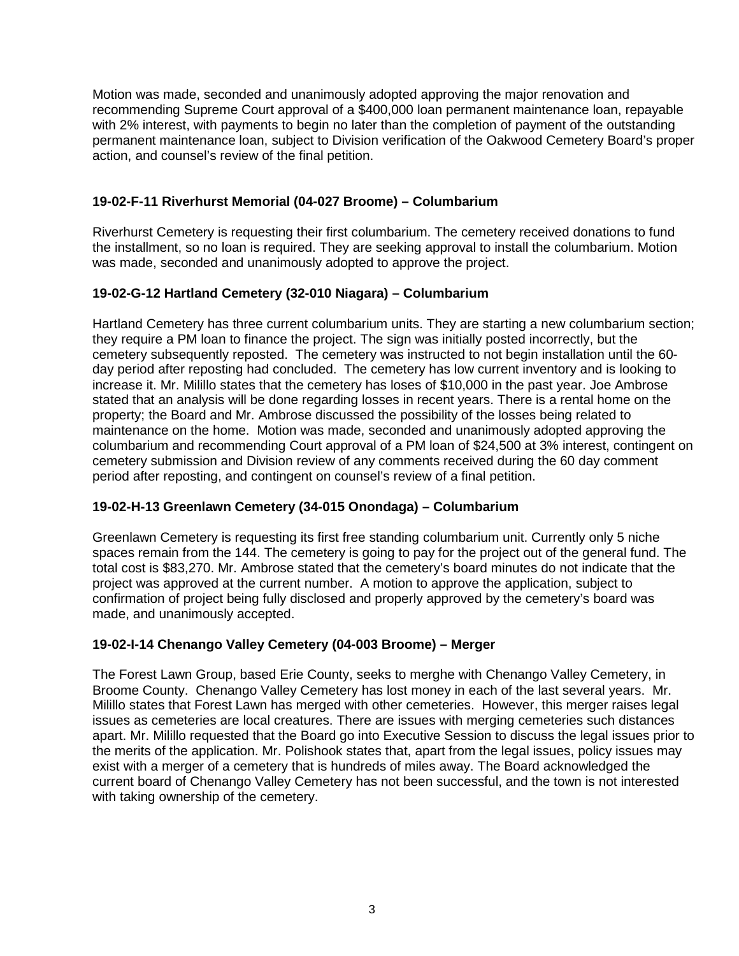Motion was made, seconded and unanimously adopted approving the major renovation and recommending Supreme Court approval of a \$400,000 loan permanent maintenance loan, repayable with 2% interest, with payments to begin no later than the completion of payment of the outstanding permanent maintenance loan, subject to Division verification of the Oakwood Cemetery Board's proper action, and counsel's review of the final petition.

## **19-02-F-11 Riverhurst Memorial (04-027 Broome) – Columbarium**

Riverhurst Cemetery is requesting their first columbarium. The cemetery received donations to fund the installment, so no loan is required. They are seeking approval to install the columbarium. Motion was made, seconded and unanimously adopted to approve the project.

## **19-02-G-12 Hartland Cemetery (32-010 Niagara) – Columbarium**

Hartland Cemetery has three current columbarium units. They are starting a new columbarium section; they require a PM loan to finance the project. The sign was initially posted incorrectly, but the cemetery subsequently reposted. The cemetery was instructed to not begin installation until the 60 day period after reposting had concluded. The cemetery has low current inventory and is looking to increase it. Mr. Milillo states that the cemetery has loses of \$10,000 in the past year. Joe Ambrose stated that an analysis will be done regarding losses in recent years. There is a rental home on the property; the Board and Mr. Ambrose discussed the possibility of the losses being related to maintenance on the home. Motion was made, seconded and unanimously adopted approving the columbarium and recommending Court approval of a PM loan of \$24,500 at 3% interest, contingent on cemetery submission and Division review of any comments received during the 60 day comment period after reposting, and contingent on counsel's review of a final petition.

### **19-02-H-13 Greenlawn Cemetery (34-015 Onondaga) – Columbarium**

Greenlawn Cemetery is requesting its first free standing columbarium unit. Currently only 5 niche spaces remain from the 144. The cemetery is going to pay for the project out of the general fund. The total cost is \$83,270. Mr. Ambrose stated that the cemetery's board minutes do not indicate that the project was approved at the current number. A motion to approve the application, subject to confirmation of project being fully disclosed and properly approved by the cemetery's board was made, and unanimously accepted.

### **19-02-I-14 Chenango Valley Cemetery (04-003 Broome) – Merger**

The Forest Lawn Group, based Erie County, seeks to merghe with Chenango Valley Cemetery, in Broome County. Chenango Valley Cemetery has lost money in each of the last several years. Mr. Milillo states that Forest Lawn has merged with other cemeteries. However, this merger raises legal issues as cemeteries are local creatures. There are issues with merging cemeteries such distances apart. Mr. Milillo requested that the Board go into Executive Session to discuss the legal issues prior to the merits of the application. Mr. Polishook states that, apart from the legal issues, policy issues may exist with a merger of a cemetery that is hundreds of miles away. The Board acknowledged the current board of Chenango Valley Cemetery has not been successful, and the town is not interested with taking ownership of the cemetery.